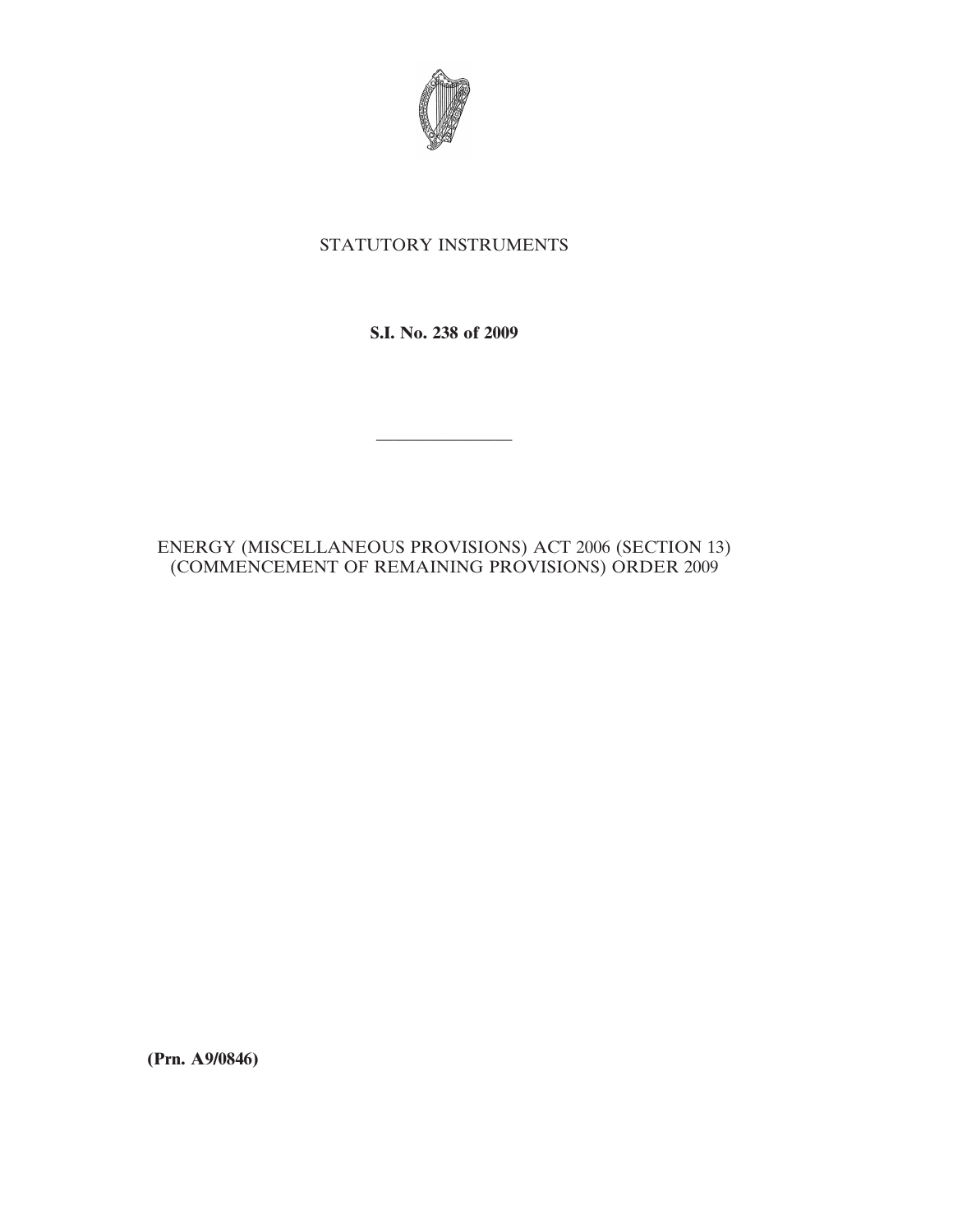

## STATUTORY INSTRUMENTS

**S.I. No. 238 of 2009**

————————

ENERGY (MISCELLANEOUS PROVISIONS) ACT 2006 (SECTION 13) (COMMENCEMENT OF REMAINING PROVISIONS) ORDER 2009

**(Prn. A9/0846)**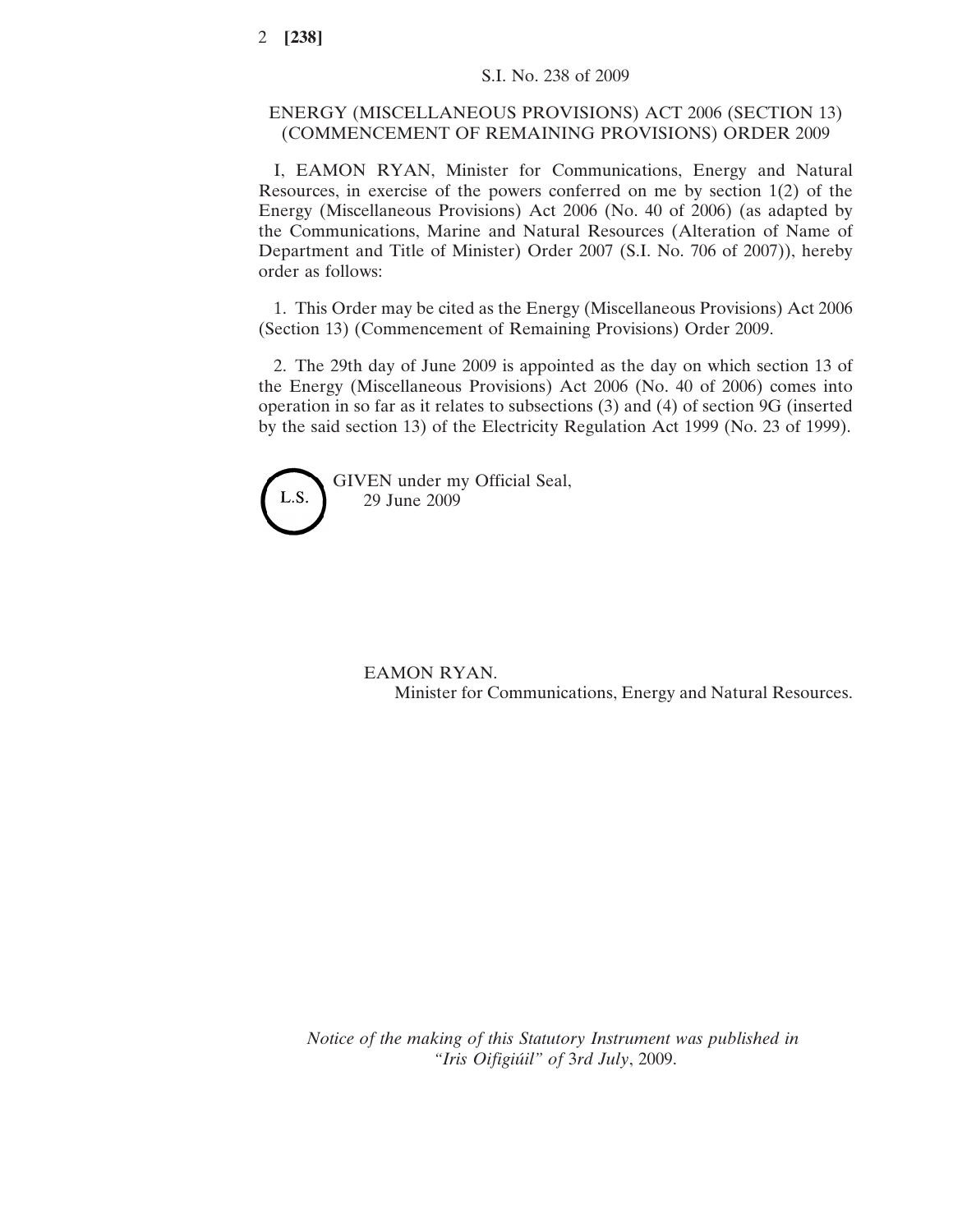## ENERGY (MISCELLANEOUS PROVISIONS) ACT 2006 (SECTION 13) (COMMENCEMENT OF REMAINING PROVISIONS) ORDER 2009

I, EAMON RYAN, Minister for Communications, Energy and Natural Resources, in exercise of the powers conferred on me by section 1(2) of the Energy (Miscellaneous Provisions) Act 2006 (No. 40 of 2006) (as adapted by the Communications, Marine and Natural Resources (Alteration of Name of Department and Title of Minister) Order 2007 (S.I. No. 706 of 2007)), hereby order as follows:

1. This Order may be cited as the Energy (Miscellaneous Provisions) Act 2006 (Section 13) (Commencement of Remaining Provisions) Order 2009.

2. The 29th day of June 2009 is appointed as the day on which section 13 of the Energy (Miscellaneous Provisions) Act 2006 (No. 40 of 2006) comes into operation in so far as it relates to subsections (3) and (4) of section 9G (inserted by the said section 13) of the Electricity Regulation Act 1999 (No. 23 of 1999).



## EAMON RYAN. Minister for Communications, Energy and Natural Resources.

*Notice of the making of this Statutory Instrument was published in "Iris Oifigiu´il" of* 3*rd July*, 2009.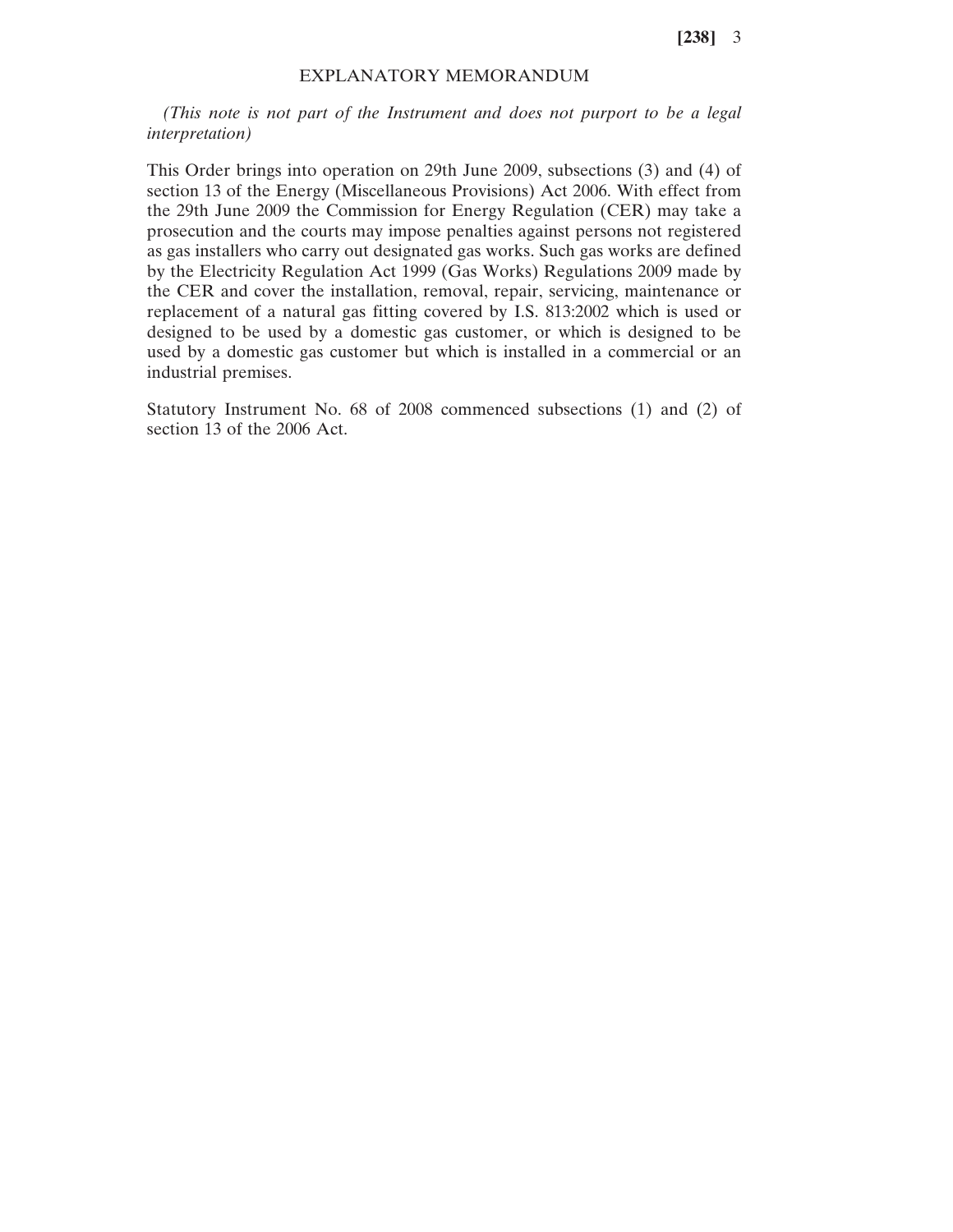**[238]** 3

## EXPLANATORY MEMORANDUM

*(This note is not part of the Instrument and does not purport to be a legal interpretation)*

This Order brings into operation on 29th June 2009, subsections (3) and (4) of section 13 of the Energy (Miscellaneous Provisions) Act 2006. With effect from the 29th June 2009 the Commission for Energy Regulation (CER) may take a prosecution and the courts may impose penalties against persons not registered as gas installers who carry out designated gas works. Such gas works are defined by the Electricity Regulation Act 1999 (Gas Works) Regulations 2009 made by the CER and cover the installation, removal, repair, servicing, maintenance or replacement of a natural gas fitting covered by I.S. 813:2002 which is used or designed to be used by a domestic gas customer, or which is designed to be used by a domestic gas customer but which is installed in a commercial or an industrial premises.

Statutory Instrument No. 68 of 2008 commenced subsections (1) and (2) of section 13 of the 2006 Act.